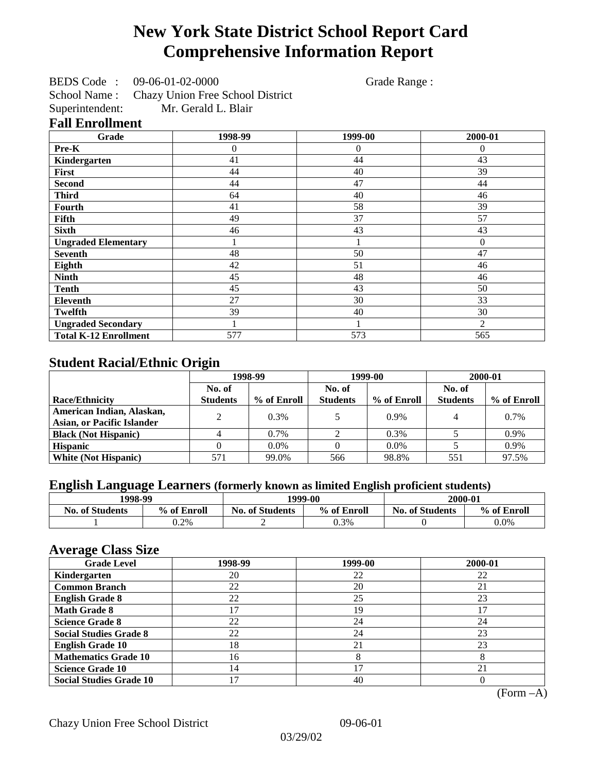# **New York State District School Report Card Comprehensive Information Report**

BEDS Code : 09-06-01-02-0000 Grade Range :

School Name : Chazy Union Free School District<br>Superintendent: Mr. Gerald L. Blair Mr. Gerald L. Blair

### **Fall Enrollment**

| Grade                        | 1998-99 | 1999-00 | 2000-01      |
|------------------------------|---------|---------|--------------|
| Pre-K                        | 0       | 0       | $\mathbf{0}$ |
| Kindergarten                 | 41      | 44      | 43           |
| First                        | 44      | 40      | 39           |
| <b>Second</b>                | 44      | 47      | 44           |
| <b>Third</b>                 | 64      | 40      | 46           |
| Fourth                       | 41      | 58      | 39           |
| Fifth                        | 49      | 37      | 57           |
| <b>Sixth</b>                 | 46      | 43      | 43           |
| <b>Ungraded Elementary</b>   |         |         | $\mathbf{0}$ |
| <b>Seventh</b>               | 48      | 50      | 47           |
| Eighth                       | 42      | 51      | 46           |
| <b>Ninth</b>                 | 45      | 48      | 46           |
| <b>Tenth</b>                 | 45      | 43      | 50           |
| <b>Eleventh</b>              | 27      | 30      | 33           |
| <b>Twelfth</b>               | 39      | 40      | 30           |
| <b>Ungraded Secondary</b>    |         |         | 2            |
| <b>Total K-12 Enrollment</b> | 577     | 573     | 565          |

## **Student Racial/Ethnic Origin**

|                                   | 1998-99         |             | 1999-00         |             | 2000-01         |             |
|-----------------------------------|-----------------|-------------|-----------------|-------------|-----------------|-------------|
|                                   | No. of          |             | No. of          |             | No. of          |             |
| Race/Ethnicity                    | <b>Students</b> | % of Enroll | <b>Students</b> | % of Enroll | <b>Students</b> | % of Enroll |
| American Indian, Alaskan,         | ↑               | $0.3\%$     |                 | $0.9\%$     |                 | 0.7%        |
| <b>Asian, or Pacific Islander</b> |                 |             |                 |             |                 |             |
| <b>Black (Not Hispanic)</b>       |                 | 0.7%        |                 | 0.3%        |                 | 0.9%        |
| <b>Hispanic</b>                   |                 | $0.0\%$     |                 | $0.0\%$     |                 | 0.9%        |
| <b>White (Not Hispanic)</b>       | 571             | 99.0%       | 566             | 98.8%       | 551             | 97.5%       |

## **English Language Learners (formerly known as limited English proficient students)**

| 1998-99                |             | 1999-00                               | 2000-01 |                        |             |
|------------------------|-------------|---------------------------------------|---------|------------------------|-------------|
| <b>No. of Students</b> | % of Enroll | % of Enroll<br><b>No. of Students</b> |         | <b>No. of Students</b> | % of Enroll |
|                        | $0.2\%$     |                                       | 0.3%    |                        | $0.0\%$     |

### **Average Class Size**

| ---- <del>-</del> -------<br><b>Grade Level</b> | 1998-99 | 1999-00 | 2000-01 |
|-------------------------------------------------|---------|---------|---------|
| Kindergarten                                    | 20      | 22      | 22      |
| <b>Common Branch</b>                            | 22      | 20      | 21      |
| <b>English Grade 8</b>                          | 22      | 25      | 23      |
| <b>Math Grade 8</b>                             |         | 19      |         |
| <b>Science Grade 8</b>                          | 22      | 24      | 24      |
| <b>Social Studies Grade 8</b>                   | 22      | 24      | 23      |
| <b>English Grade 10</b>                         | 18      | 21      | 23      |
| <b>Mathematics Grade 10</b>                     | 16      | 8       | ◠       |
| <b>Science Grade 10</b>                         | 14      | 17      | 21      |
| <b>Social Studies Grade 10</b>                  |         | 40      |         |

(Form –A)

Chazy Union Free School District 09-06-01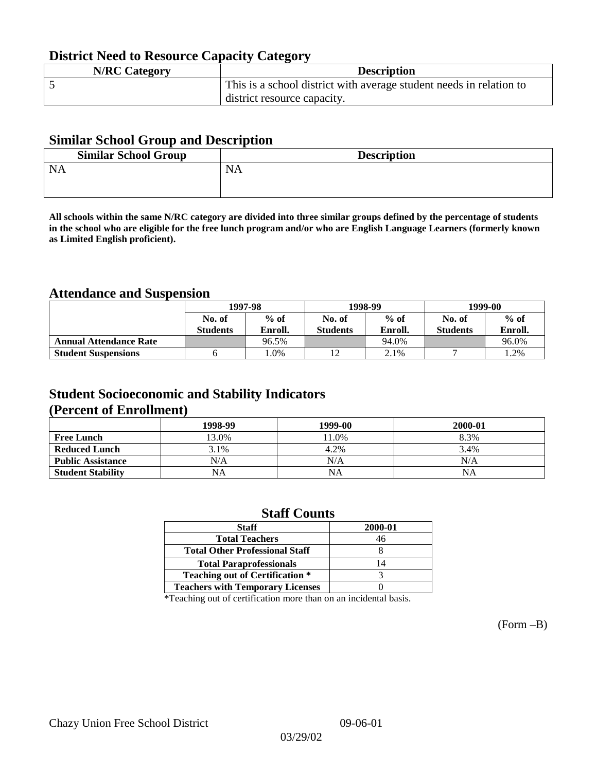## **District Need to Resource Capacity Category**

| <b>N/RC Category</b> | <b>Description</b>                                                  |
|----------------------|---------------------------------------------------------------------|
|                      | This is a school district with average student needs in relation to |
|                      | district resource capacity.                                         |

### **Similar School Group and Description**

| <b>Similar School Group</b> | <b>Description</b> |
|-----------------------------|--------------------|
| <b>NA</b>                   | <b>NA</b>          |
|                             |                    |

**All schools within the same N/RC category are divided into three similar groups defined by the percentage of students in the school who are eligible for the free lunch program and/or who are English Language Learners (formerly known as Limited English proficient).**

## **Attendance and Suspension**

|                               | 1997-98          |         | 1998-99         |         | 1999-00         |         |
|-------------------------------|------------------|---------|-----------------|---------|-----------------|---------|
|                               | $%$ of<br>No. of |         | No. of          | $%$ of  | No. of          | $%$ of  |
|                               | <b>Students</b>  | Enroll. | <b>Students</b> | Enroll. | <b>Students</b> | Enroll. |
| <b>Annual Attendance Rate</b> |                  | 96.5%   |                 | 94.0%   |                 | 96.0%   |
| <b>Student Suspensions</b>    |                  | $.0\%$  |                 | 2.1%    |                 | l.2%    |

### **Student Socioeconomic and Stability Indicators (Percent of Enrollment)**

|                          | 1998-99 | 1999-00   | 2000-01 |
|--------------------------|---------|-----------|---------|
| <b>Free Lunch</b>        | 13.0%   | 1.0%      | 8.3%    |
| <b>Reduced Lunch</b>     | 3.1%    | 4.2%      | 3.4%    |
| <b>Public Assistance</b> | N/A     | N/A       | N/A     |
| <b>Student Stability</b> | NA      | <b>NA</b> | NA      |

### **Staff Counts**

| <b>Staff</b>                            | 2000-01 |
|-----------------------------------------|---------|
| <b>Total Teachers</b>                   | 46      |
| <b>Total Other Professional Staff</b>   |         |
| <b>Total Paraprofessionals</b>          | 14      |
| <b>Teaching out of Certification *</b>  |         |
| <b>Teachers with Temporary Licenses</b> |         |

\*Teaching out of certification more than on an incidental basis.

(Form –B)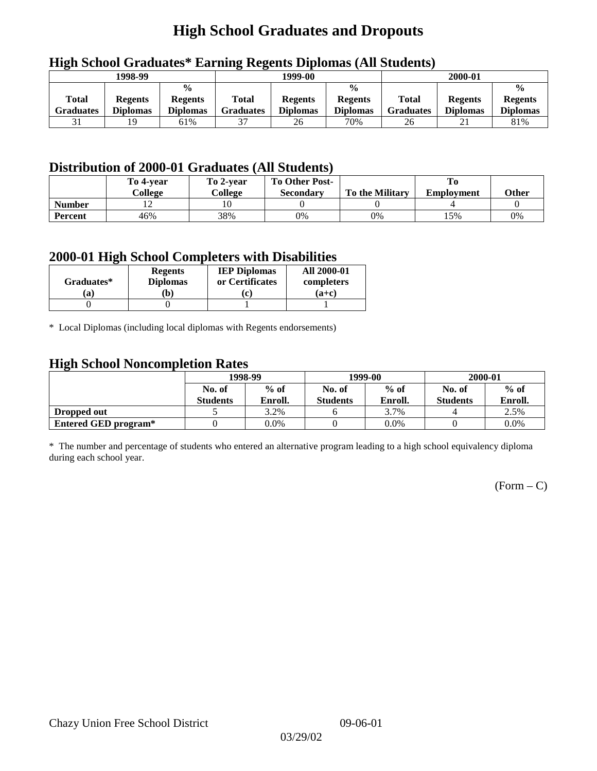# **High School Graduates and Dropouts**

|                           | 1998-99                           |                                                    |                           | 1999-00                           |                                                    |                                  | 2000-01                           |                                                    |
|---------------------------|-----------------------------------|----------------------------------------------------|---------------------------|-----------------------------------|----------------------------------------------------|----------------------------------|-----------------------------------|----------------------------------------------------|
| <b>Total</b><br>Graduates | <b>Regents</b><br><b>Diplomas</b> | $\frac{0}{0}$<br><b>Regents</b><br><b>Diplomas</b> | Total<br><b>Graduates</b> | <b>Regents</b><br><b>Diplomas</b> | $\frac{0}{0}$<br><b>Regents</b><br><b>Diplomas</b> | <b>Total</b><br><b>Graduates</b> | <b>Regents</b><br><b>Diplomas</b> | $\frac{0}{0}$<br><b>Regents</b><br><b>Diplomas</b> |
|                           | 19                                | 61%                                                |                           | 26                                | 70%                                                | 26                               | 21                                | 81%                                                |

### **High School Graduates\* Earning Regents Diplomas (All Students)**

## **Distribution of 2000-01 Graduates (All Students)**

|               | To 4-vear | To 2-year | <b>To Other Post-</b> |                        |                   |       |
|---------------|-----------|-----------|-----------------------|------------------------|-------------------|-------|
|               | College   | College   | <b>Secondary</b>      | <b>To the Military</b> | <b>Employment</b> | Other |
| <b>Number</b> |           |           |                       |                        |                   |       |
| Percent       | 46%       | 38%       | 0%                    | 0%                     | 15%               | 0%    |

### **2000-01 High School Completers with Disabilities**

| Graduates* | <b>Regents</b><br><b>Diplomas</b> | <b>IEP Diplomas</b><br>or Certificates | <b>All 2000-01</b><br>completers |
|------------|-----------------------------------|----------------------------------------|----------------------------------|
| `a         | $\mathbf{b}$                      | $ {\bf c} $                            | $(a+c)$                          |
|            |                                   |                                        |                                  |

\* Local Diplomas (including local diplomas with Regents endorsements)

### **High School Noncompletion Rates**

| ັ                    |                 | 1998-99 |                 | 1999-00 | 2000-01         |         |
|----------------------|-----------------|---------|-----------------|---------|-----------------|---------|
|                      | No. of          | $%$ of  | No. of          | $%$ of  | No. of          | $%$ of  |
|                      | <b>Students</b> | Enroll. | <b>Students</b> | Enroll. | <b>Students</b> | Enroll. |
| Dropped out          |                 | 3.2%    |                 | 3.7%    |                 | 2.5%    |
| Entered GED program* |                 | $0.0\%$ |                 | $0.0\%$ |                 | $0.0\%$ |

\* The number and percentage of students who entered an alternative program leading to a high school equivalency diploma during each school year.

 $(Form - C)$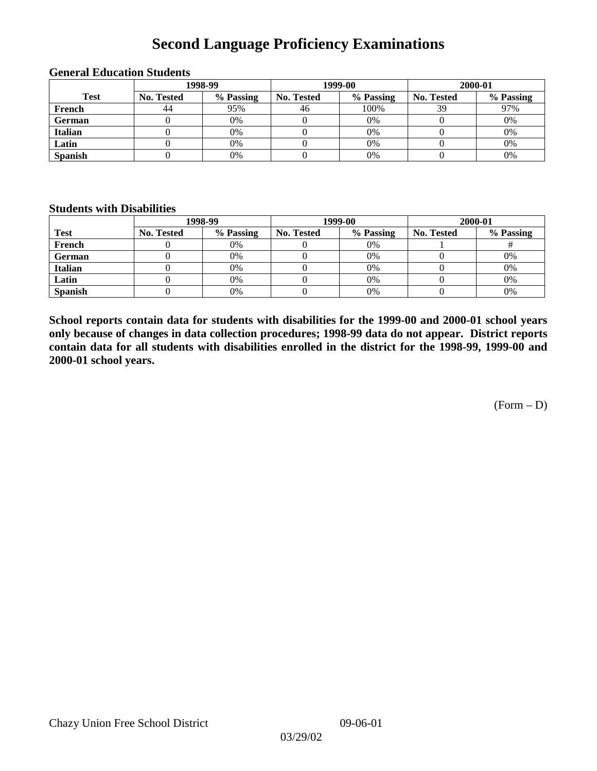# **Second Language Proficiency Examinations**

|                |            | 1998-99   | 1999-00           |           | 2000-01    |           |
|----------------|------------|-----------|-------------------|-----------|------------|-----------|
| <b>Test</b>    | No. Tested | % Passing | <b>No. Tested</b> | % Passing | No. Tested | % Passing |
| French         | 44         | 95%       | 46                | 100%      | 39         | 97%       |
| <b>German</b>  |            | 0%        |                   | 0%        |            | 0%        |
| <b>Italian</b> |            | 0%        |                   | 0%        |            | 0%        |
| Latin          |            | 0%        |                   | 0%        |            | 0%        |
| <b>Spanish</b> |            | 0%        |                   | 0%        |            | 0%        |

#### **General Education Students**

### **Students with Disabilities**

|                |            | 1998-99   |                   | 1999-00   | 2000-01           |           |  |
|----------------|------------|-----------|-------------------|-----------|-------------------|-----------|--|
| <b>Test</b>    | No. Tested | % Passing | <b>No. Tested</b> | % Passing | <b>No. Tested</b> | % Passing |  |
| French         |            | 0%        |                   | $0\%$     |                   |           |  |
| German         |            | 0%        |                   | 0%        |                   | 0%        |  |
| <b>Italian</b> |            | 0%        |                   | $0\%$     |                   | 0%        |  |
| Latin          |            | 0%        |                   | $0\%$     |                   | 0%        |  |
| <b>Spanish</b> |            | 0%        |                   | 0%        |                   | 0%        |  |

**School reports contain data for students with disabilities for the 1999-00 and 2000-01 school years only because of changes in data collection procedures; 1998-99 data do not appear. District reports contain data for all students with disabilities enrolled in the district for the 1998-99, 1999-00 and 2000-01 school years.**

 $(Form - D)$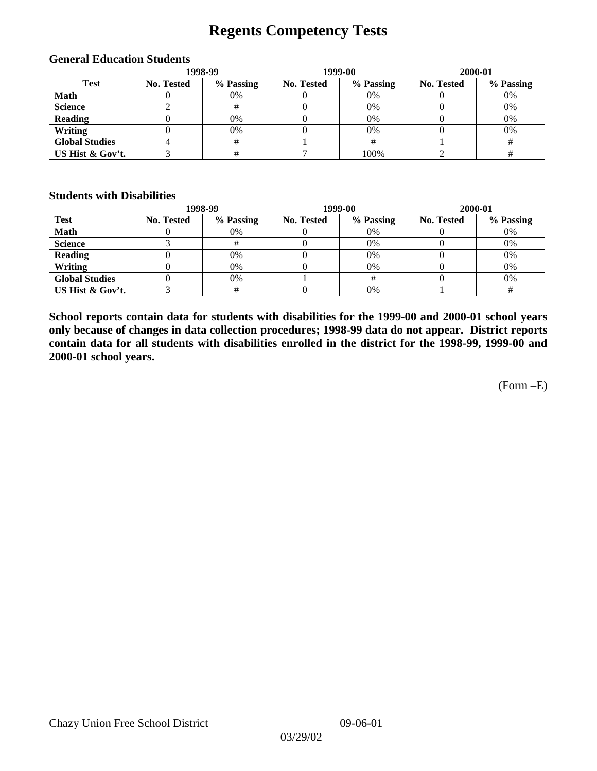## **Regents Competency Tests**

| 1998-99               |            |           | 1999-00    |           | 2000-01    |           |
|-----------------------|------------|-----------|------------|-----------|------------|-----------|
| <b>Test</b>           | No. Tested | % Passing | No. Tested | % Passing | No. Tested | % Passing |
| <b>Math</b>           |            | 0%        |            | 0%        |            | 0%        |
| <b>Science</b>        |            |           |            | 0%        |            | 0%        |
| <b>Reading</b>        |            | $0\%$     |            | 0%        |            | 0%        |
| Writing               |            | 0%        |            | 0%        |            | 0%        |
| <b>Global Studies</b> |            |           |            |           |            |           |
| US Hist & Gov't.      |            |           |            | 100%      |            |           |

#### **General Education Students**

#### **Students with Disabilities**

|                       |                   | 1998-99   | 1999-00    |           | 2000-01    |           |
|-----------------------|-------------------|-----------|------------|-----------|------------|-----------|
| <b>Test</b>           | <b>No. Tested</b> | % Passing | No. Tested | % Passing | No. Tested | % Passing |
| <b>Math</b>           |                   | 0%        |            | $0\%$     |            | 0%        |
| <b>Science</b>        |                   |           |            | $0\%$     |            | 0%        |
| <b>Reading</b>        |                   | 0%        |            | $0\%$     |            | 0%        |
| Writing               |                   | 0%        |            | 0%        |            | 0%        |
| <b>Global Studies</b> |                   | 0%        |            |           |            | 0%        |
| US Hist & Gov't.      |                   |           |            | 0%        |            |           |

**School reports contain data for students with disabilities for the 1999-00 and 2000-01 school years only because of changes in data collection procedures; 1998-99 data do not appear. District reports contain data for all students with disabilities enrolled in the district for the 1998-99, 1999-00 and 2000-01 school years.**

(Form –E)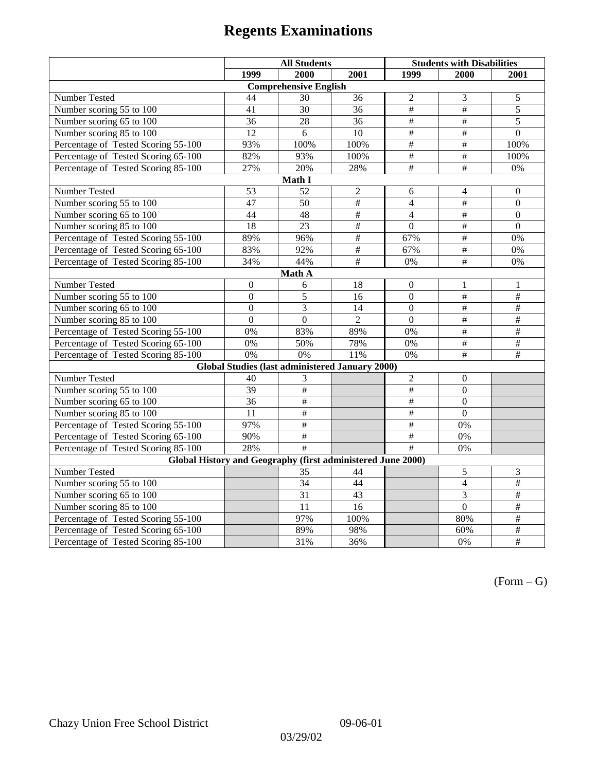|                                                             | <b>All Students</b> |                                                        |                 | <b>Students with Disabilities</b> |                           |                          |
|-------------------------------------------------------------|---------------------|--------------------------------------------------------|-----------------|-----------------------------------|---------------------------|--------------------------|
|                                                             | 1999                | 2000                                                   | 2001            | 1999                              | 2000                      | 2001                     |
|                                                             |                     | <b>Comprehensive English</b>                           |                 |                                   |                           |                          |
| Number Tested                                               | 44                  | 30                                                     | 36              | $\overline{2}$                    | $\mathfrak{Z}$            | 5                        |
| Number scoring 55 to 100                                    | 41                  | 30                                                     | 36              | $\overline{\overline{t}}$         | $\#$                      | $\overline{5}$           |
| Number scoring 65 to 100                                    | 36                  | 28                                                     | 36              | $\frac{1}{2}$                     | $\overline{\overline{}}$  | 5                        |
| Number scoring 85 to 100                                    | 12                  | 6                                                      | 10              | $\overline{\#}$                   | #                         | $\overline{0}$           |
| Percentage of Tested Scoring 55-100                         | 93%                 | 100%                                                   | 100%            | $\overline{\#}$                   | $\overline{\#}$           | 100%                     |
| Percentage of Tested Scoring 65-100                         | 82%                 | 93%                                                    | 100%            | #                                 | $\overline{\#}$           | 100%                     |
| Percentage of Tested Scoring 85-100                         | 27%                 | 20%                                                    | 28%             | #                                 | #                         | $0\%$                    |
|                                                             |                     | Math I                                                 |                 |                                   |                           |                          |
| Number Tested                                               | 53                  | 52                                                     | $\overline{c}$  | 6                                 | 4                         | $\boldsymbol{0}$         |
| Number scoring 55 to 100                                    | 47                  | 50                                                     | #               | $\overline{4}$                    | $\#$                      | $\boldsymbol{0}$         |
| Number scoring 65 to 100                                    | 44                  | 48                                                     | $\frac{1}{2}$   | $\overline{4}$                    | $\overline{\#}$           | $\boldsymbol{0}$         |
| Number scoring 85 to 100                                    | 18                  | $\overline{23}$                                        | #               | $\overline{0}$                    | #                         | $\overline{0}$           |
| Percentage of Tested Scoring 55-100                         | 89%                 | 96%                                                    | #               | 67%                               | #                         | 0%                       |
| Percentage of Tested Scoring 65-100                         | 83%                 | 92%                                                    | $\overline{\#}$ | 67%                               | $\#$                      | 0%                       |
| Percentage of Tested Scoring 85-100                         | 34%                 | 44%                                                    | $\#$            | $0\%$                             | #                         | 0%                       |
|                                                             |                     | Math A                                                 |                 |                                   |                           |                          |
| Number Tested                                               | $\boldsymbol{0}$    | 6                                                      | 18              | $\boldsymbol{0}$                  | 1                         | 1                        |
| Number scoring 55 to 100                                    | $\overline{0}$      | 5                                                      | 16              | $\overline{0}$                    | $\overline{\#}$           | $\overline{+}$           |
| Number scoring 65 to 100                                    | $\mathbf{0}$        | 3                                                      | 14              | $\boldsymbol{0}$                  | $\#$                      | #                        |
| Number scoring 85 to 100                                    | $\overline{0}$      | $\overline{0}$                                         | $\overline{2}$  | $\mathbf{0}$                      | $\overline{\overline{t}}$ | $\overline{\overline{}}$ |
| Percentage of Tested Scoring 55-100                         | 0%                  | 83%                                                    | 89%             | 0%                                | #                         | #                        |
| Percentage of Tested Scoring 65-100                         | 0%                  | 50%                                                    | 78%             | 0%                                | $\overline{\#}$           | $\overline{\#}$          |
| Percentage of Tested Scoring 85-100                         | 0%                  | 0%                                                     | 11%             | 0%                                | $\overline{\overline{t}}$ | $\overline{+}$           |
|                                                             |                     | <b>Global Studies (last administered January 2000)</b> |                 |                                   |                           |                          |
| <b>Number Tested</b>                                        | 40                  | 3                                                      |                 | $\overline{2}$                    | $\mathbf{0}$              |                          |
| Number scoring 55 to 100                                    | $\overline{39}$     | $\overline{\#}$                                        |                 | $\frac{1}{2}$                     | $\mathbf{0}$              |                          |
| Number scoring 65 to 100                                    | 36                  | $\frac{1}{2}$                                          |                 | $\#$                              | $\mathbf{0}$              |                          |
| Number scoring 85 to 100                                    | 11                  | $\#$                                                   |                 | #                                 | $\Omega$                  |                          |
| Percentage of Tested Scoring 55-100                         | 97%                 | $\#$                                                   |                 | $\overline{\#}$                   | 0%                        |                          |
| Percentage of Tested Scoring 65-100                         | 90%                 | $\frac{1}{2}$                                          |                 | #                                 | 0%                        |                          |
| Percentage of Tested Scoring 85-100                         | 28%                 | #                                                      |                 | #                                 | 0%                        |                          |
| Global History and Geography (first administered June 2000) |                     |                                                        |                 |                                   |                           |                          |
| Number Tested                                               |                     | 35                                                     | 44              |                                   | 5                         | 3                        |
| Number scoring 55 to 100                                    |                     | $\overline{34}$                                        | 44              |                                   | $\overline{4}$            | $\overline{+}$           |
| Number scoring 65 to 100                                    |                     | $\overline{31}$                                        | 43              |                                   | 3                         | $\frac{1}{2}$            |
| Number scoring 85 to 100                                    |                     | 11                                                     | 16              |                                   | $\overline{0}$            | $\#$                     |
| Percentage of Tested Scoring 55-100                         |                     | 97%                                                    | 100%            |                                   | 80%                       | $\overline{+}$           |
| Percentage of Tested Scoring 65-100                         |                     | 89%                                                    | 98%             |                                   | 60%                       | $\#$                     |
| Percentage of Tested Scoring 85-100                         |                     | 31%                                                    | 36%             |                                   | 0%                        | $\#$                     |

 $(Form - G)$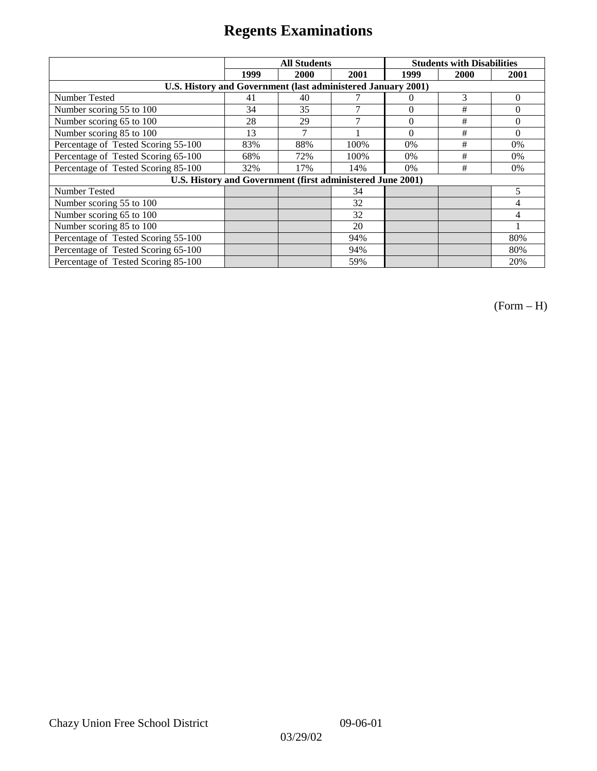|                                                            | <b>All Students</b>                                          |      |      |          | <b>Students with Disabilities</b> |          |  |  |
|------------------------------------------------------------|--------------------------------------------------------------|------|------|----------|-----------------------------------|----------|--|--|
|                                                            | 1999                                                         | 2000 | 2001 | 1999     | 2000                              | 2001     |  |  |
|                                                            | U.S. History and Government (last administered January 2001) |      |      |          |                                   |          |  |  |
| Number Tested                                              | 41                                                           | 40   |      | $\theta$ | 3                                 | $\Omega$ |  |  |
| Number scoring 55 to 100                                   | 34                                                           | 35   | 7    | $\theta$ | #                                 | 0        |  |  |
| Number scoring 65 to 100                                   | 28                                                           | 29   | 7    | $\theta$ | #                                 | $\theta$ |  |  |
| Number scoring 85 to 100                                   | 13                                                           | 7    |      | $\Omega$ | #                                 | $\Omega$ |  |  |
| Percentage of Tested Scoring 55-100                        | 83%                                                          | 88%  | 100% | 0%       | #                                 | 0%       |  |  |
| Percentage of Tested Scoring 65-100                        | 68%                                                          | 72%  | 100% | $0\%$    | #                                 | $0\%$    |  |  |
| Percentage of Tested Scoring 85-100                        | 32%                                                          | 17%  | 14%  | $0\%$    | #                                 | $0\%$    |  |  |
| U.S. History and Government (first administered June 2001) |                                                              |      |      |          |                                   |          |  |  |
| Number Tested                                              |                                                              |      | 34   |          |                                   | 5        |  |  |
| Number scoring 55 to 100                                   |                                                              |      | 32   |          |                                   | 4        |  |  |
| Number scoring 65 to 100                                   |                                                              |      | 32   |          |                                   | 4        |  |  |
| Number scoring 85 to 100                                   |                                                              |      | 20   |          |                                   |          |  |  |
| Percentage of Tested Scoring 55-100                        |                                                              |      | 94%  |          |                                   | 80%      |  |  |
| Percentage of Tested Scoring 65-100                        |                                                              |      | 94%  |          |                                   | 80%      |  |  |
| Percentage of Tested Scoring 85-100                        |                                                              |      | 59%  |          |                                   | 20%      |  |  |

(Form – H)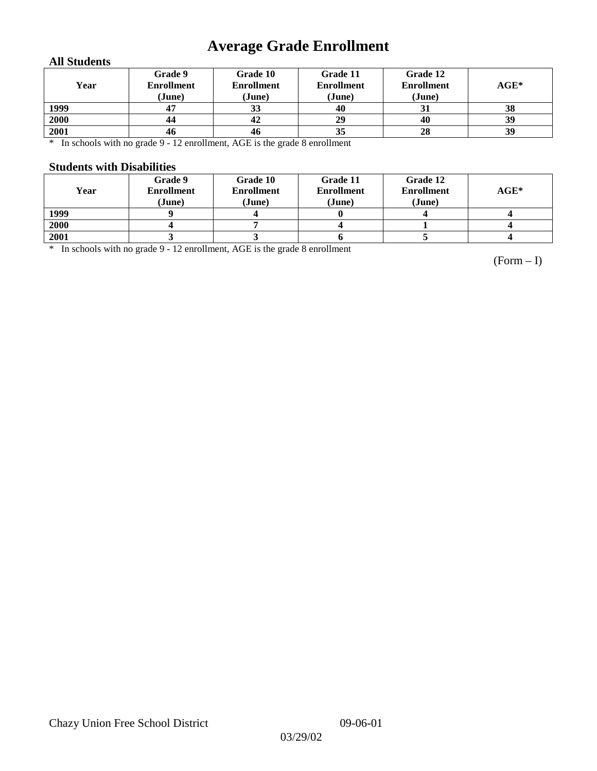# **Average Grade Enrollment**

### **All Students**

| Year | Grade 9<br><b>Enrollment</b><br>(June) | Grade 10<br><b>Enrollment</b><br>(June) | Grade 11<br><b>Enrollment</b><br>(June) | Grade 12<br><b>Enrollment</b><br>(June) | $AGE^*$ |
|------|----------------------------------------|-----------------------------------------|-----------------------------------------|-----------------------------------------|---------|
| 1999 | 47                                     | 33                                      | 40                                      | 31                                      | 38      |
| 2000 | 44                                     | 42                                      | 29                                      | 40                                      | 39      |
| 2001 | 46                                     | 46                                      | 35                                      | 28                                      | 39      |

\* In schools with no grade 9 - 12 enrollment, AGE is the grade 8 enrollment

### **Students with Disabilities**

| Year | Grade 9<br><b>Enrollment</b><br>(June) | Grade 10<br><b>Enrollment</b><br>(June) | Grade 11<br><b>Enrollment</b><br>(June) | Grade 12<br><b>Enrollment</b><br>(June) | $AGE^*$ |
|------|----------------------------------------|-----------------------------------------|-----------------------------------------|-----------------------------------------|---------|
| 1999 |                                        |                                         |                                         |                                         |         |
| 2000 |                                        |                                         |                                         |                                         |         |
| 2001 |                                        |                                         |                                         |                                         |         |

\* In schools with no grade 9 - 12 enrollment, AGE is the grade 8 enrollment

(Form – I)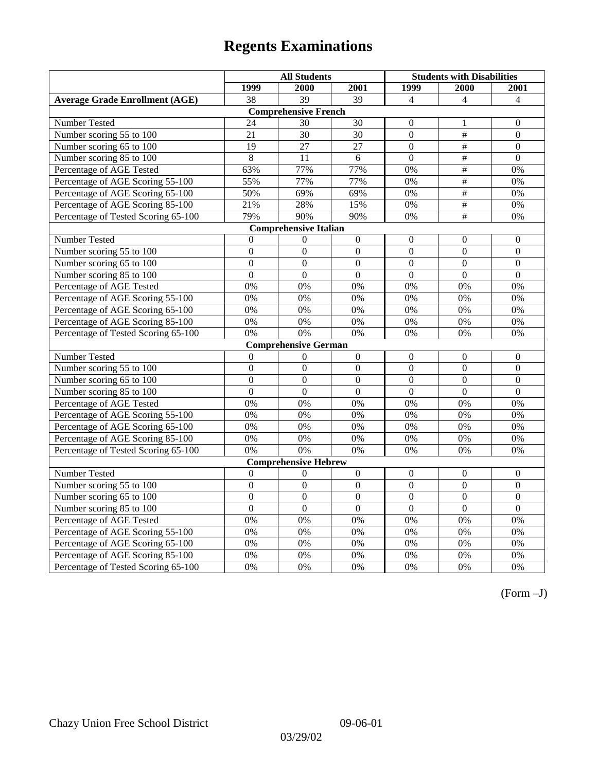|                                       | <b>All Students</b><br><b>Students with Disabilities</b> |                              |                  |                  |                           |                  |
|---------------------------------------|----------------------------------------------------------|------------------------------|------------------|------------------|---------------------------|------------------|
|                                       | 1999                                                     | 2000                         | 2001             | 1999             | 2000                      | 2001             |
| <b>Average Grade Enrollment (AGE)</b> | 38                                                       | $\overline{39}$              | $\overline{39}$  | $\overline{4}$   | $\overline{\mathcal{A}}$  | $\overline{4}$   |
|                                       |                                                          | <b>Comprehensive French</b>  |                  |                  |                           |                  |
| Number Tested                         | 24                                                       | 30                           | 30               | $\overline{0}$   | 1                         | $\mathbf{0}$     |
| Number scoring 55 to 100              | $\overline{21}$                                          | $\overline{30}$              | $\overline{30}$  | $\overline{0}$   | $\overline{\overline{}}$  | $\overline{0}$   |
| Number scoring 65 to 100              | 19                                                       | 27                           | 27               | $\overline{0}$   | $\overline{\overline{t}}$ | $\mathbf{0}$     |
| Number scoring 85 to 100              | 8                                                        | 11                           | 6                | $\mathbf{0}$     | $\overline{\#}$           | $\mathbf{0}$     |
| Percentage of AGE Tested              | 63%                                                      | 77%                          | 77%              | 0%               | #                         | 0%               |
| Percentage of AGE Scoring 55-100      | 55%                                                      | 77%                          | 77%              | 0%               | $\#$                      | 0%               |
| Percentage of AGE Scoring 65-100      | 50%                                                      | 69%                          | 69%              | 0%               | #                         | 0%               |
| Percentage of AGE Scoring 85-100      | 21%                                                      | 28%                          | 15%              | 0%               | $\overline{\#}$           | 0%               |
| Percentage of Tested Scoring 65-100   | 79%                                                      | 90%                          | 90%              | 0%               | #                         | 0%               |
|                                       |                                                          | <b>Comprehensive Italian</b> |                  |                  |                           |                  |
| Number Tested                         | $\overline{0}$                                           | $\boldsymbol{0}$             | $\boldsymbol{0}$ | $\overline{0}$   | $\theta$                  | $\overline{0}$   |
| Number scoring 55 to 100              | $\mathbf{0}$                                             | $\mathbf{0}$                 | $\overline{0}$   | $\overline{0}$   | $\mathbf{0}$              | $\mathbf{0}$     |
| Number scoring 65 to 100              | $\boldsymbol{0}$                                         | $\boldsymbol{0}$             | $\overline{0}$   | $\overline{0}$   | $\overline{0}$            | $\overline{0}$   |
| Number scoring 85 to 100              | $\overline{0}$                                           | $\mathbf{0}$                 | $\overline{0}$   | $\overline{0}$   | $\mathbf{0}$              | $\mathbf{0}$     |
| Percentage of AGE Tested              | 0%                                                       | 0%                           | 0%               | 0%               | 0%                        | 0%               |
| Percentage of AGE Scoring 55-100      | 0%                                                       | 0%                           | 0%               | 0%               | 0%                        | 0%               |
| Percentage of AGE Scoring 65-100      | 0%                                                       | 0%                           | 0%               | 0%               | 0%                        | 0%               |
| Percentage of AGE Scoring 85-100      | 0%                                                       | 0%                           | 0%               | 0%               | 0%                        | 0%               |
| Percentage of Tested Scoring 65-100   | 0%                                                       | 0%                           | 0%               | 0%               | 0%                        | 0%               |
|                                       |                                                          | <b>Comprehensive German</b>  |                  |                  |                           |                  |
| <b>Number Tested</b>                  | $\Omega$                                                 | $\theta$                     | $\mathbf{0}$     | $\overline{0}$   | $\mathbf{0}$              | $\mathbf{0}$     |
| Number scoring 55 to 100              | $\boldsymbol{0}$                                         | $\boldsymbol{0}$             | $\boldsymbol{0}$ | $\mathbf{0}$     | $\mathbf{0}$              | $\mathbf{0}$     |
| Number scoring 65 to 100              | $\overline{0}$                                           | $\mathbf{0}$                 | $\overline{0}$   | $\overline{0}$   | $\mathbf{0}$              | $\mathbf{0}$     |
| Number scoring 85 to 100              | $\overline{0}$                                           | $\overline{0}$               | $\overline{0}$   | $\overline{0}$   | $\overline{0}$            | $\Omega$         |
| Percentage of AGE Tested              | 0%                                                       | 0%                           | 0%               | 0%               | 0%                        | 0%               |
| Percentage of AGE Scoring 55-100      | 0%                                                       | 0%                           | 0%               | 0%               | 0%                        | 0%               |
| Percentage of AGE Scoring 65-100      | 0%                                                       | 0%                           | 0%               | 0%               | 0%                        | 0%               |
| Percentage of AGE Scoring 85-100      | 0%                                                       | 0%                           | 0%               | 0%               | 0%                        | 0%               |
| Percentage of Tested Scoring 65-100   | 0%                                                       | 0%                           | 0%               | 0%               | 0%                        | 0%               |
|                                       |                                                          | <b>Comprehensive Hebrew</b>  |                  |                  |                           |                  |
| Number Tested                         | $\mathbf{0}$                                             | $\theta$                     | $\overline{0}$   | $\boldsymbol{0}$ | $\boldsymbol{0}$          | $\boldsymbol{0}$ |
| Number scoring 55 to 100              | $\overline{0}$                                           | $\overline{0}$               | $\overline{0}$   | $\overline{0}$   | $\overline{0}$            | $\overline{0}$   |
| Number scoring 65 to 100              | $\theta$                                                 | $\boldsymbol{0}$             | $\Omega$         | $\theta$         | $\theta$                  | $\boldsymbol{0}$ |
| Number scoring 85 to 100              | $\mathbf{0}$                                             | $\mathbf{0}$                 | $\overline{0}$   | $\mathbf{0}$     | $\mathbf{0}$              | $\mathbf{0}$     |
| Percentage of AGE Tested              | 0%                                                       | 0%                           | 0%               | 0%               | 0%                        | 0%               |
| Percentage of AGE Scoring 55-100      | 0%                                                       | 0%                           | 0%               | 0%               | 0%                        | 0%               |
| Percentage of AGE Scoring 65-100      | 0%                                                       | 0%                           | 0%               | $0\%$            | 0%                        | 0%               |
| Percentage of AGE Scoring 85-100      | 0%                                                       | 0%                           | 0%               | $0\%$            | 0%                        | 0%               |
| Percentage of Tested Scoring 65-100   | 0%                                                       | 0%                           | 0%               | 0%               | 0%                        | 0%               |

(Form –J)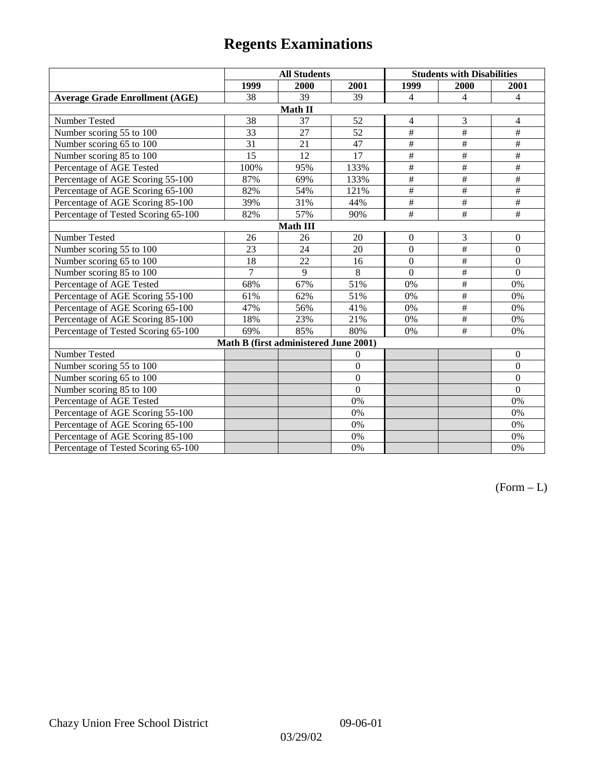|                                       | <b>All Students</b> |                                       |                 | <b>Students with Disabilities</b> |                          |                 |  |
|---------------------------------------|---------------------|---------------------------------------|-----------------|-----------------------------------|--------------------------|-----------------|--|
|                                       | 1999                | 2000                                  | 2001            | 1999                              | 2000                     | 2001            |  |
| <b>Average Grade Enrollment (AGE)</b> | 38                  | 39                                    | 39              | $\overline{4}$                    | 4                        | $\overline{4}$  |  |
|                                       |                     | Math II                               |                 |                                   |                          |                 |  |
| Number Tested                         | 38                  | 37                                    | 52              | $\overline{4}$                    | 3                        | $\overline{4}$  |  |
| Number scoring 55 to 100              | 33                  | 27                                    | 52              | $\overline{\#}$                   | #                        | $\#$            |  |
| Number scoring 65 to 100              | 31                  | 21                                    | 47              | $\#$                              | #                        | $\#$            |  |
| Number scoring 85 to 100              | 15                  | 12                                    | $\overline{17}$ | $\overline{\#}$                   | #                        | $\overline{\#}$ |  |
| Percentage of AGE Tested              | 100%                | 95%                                   | 133%            | $\overline{\overline{H}}$         | $\overline{+}$           | $\#$            |  |
| Percentage of AGE Scoring 55-100      | 87%                 | 69%                                   | 133%            | $\overline{\#}$                   | #                        | $\overline{\#}$ |  |
| Percentage of AGE Scoring 65-100      | 82%                 | 54%                                   | 121%            | $\#$                              | $\#$                     | $\#$            |  |
| Percentage of AGE Scoring 85-100      | 39%                 | 31%                                   | 44%             | $\overline{\#}$                   | #                        | #               |  |
| Percentage of Tested Scoring 65-100   | 82%                 | 57%                                   | 90%             | $\overline{+}$                    | $\overline{+}$           | $\#$            |  |
| Math III                              |                     |                                       |                 |                                   |                          |                 |  |
| Number Tested                         | 26                  | 26                                    | 20              | $\mathbf{0}$                      | $\mathfrak{Z}$           | $\mathbf{0}$    |  |
| Number scoring 55 to 100              | 23                  | 24                                    | 20              | $\overline{0}$                    | #                        | $\mathbf{0}$    |  |
| Number scoring 65 to 100              | 18                  | 22                                    | 16              | $\boldsymbol{0}$                  | $\#$                     | $\mathbf{0}$    |  |
| Number scoring 85 to 100              | $\overline{7}$      | 9                                     | 8               | $\overline{0}$                    | #                        | $\mathbf{0}$    |  |
| Percentage of AGE Tested              | 68%                 | 67%                                   | 51%             | $0\%$                             | $\#$                     | $0\%$           |  |
| Percentage of AGE Scoring 55-100      | 61%                 | 62%                                   | 51%             | 0%                                | #                        | 0%              |  |
| Percentage of AGE Scoring 65-100      | 47%                 | 56%                                   | 41%             | $0\%$                             | $\overline{\#}$          | $0\%$           |  |
| Percentage of AGE Scoring 85-100      | 18%                 | 23%                                   | 21%             | 0%                                | $\overline{\overline{}}$ | $0\%$           |  |
| Percentage of Tested Scoring 65-100   | 69%                 | 85%                                   | 80%             | 0%                                | $\#$                     | 0%              |  |
|                                       |                     | Math B (first administered June 2001) |                 |                                   |                          |                 |  |
| Number Tested                         |                     |                                       | $\theta$        |                                   |                          | $\mathbf{0}$    |  |
| Number scoring 55 to 100              |                     |                                       | $\overline{0}$  |                                   |                          | $\mathbf{0}$    |  |
| Number scoring 65 to 100              |                     |                                       | $\overline{0}$  |                                   |                          | $\mathbf{0}$    |  |
| Number scoring 85 to 100              |                     |                                       | $\theta$        |                                   |                          | $\mathbf{0}$    |  |
| Percentage of AGE Tested              |                     |                                       | 0%              |                                   |                          | 0%              |  |
| Percentage of AGE Scoring 55-100      |                     |                                       | 0%              |                                   |                          | 0%              |  |
| Percentage of AGE Scoring 65-100      |                     |                                       | 0%              |                                   |                          | 0%              |  |
| Percentage of AGE Scoring 85-100      |                     |                                       | 0%              |                                   |                          | 0%              |  |
| Percentage of Tested Scoring 65-100   |                     |                                       | 0%              |                                   |                          | 0%              |  |

 $(Form - L)$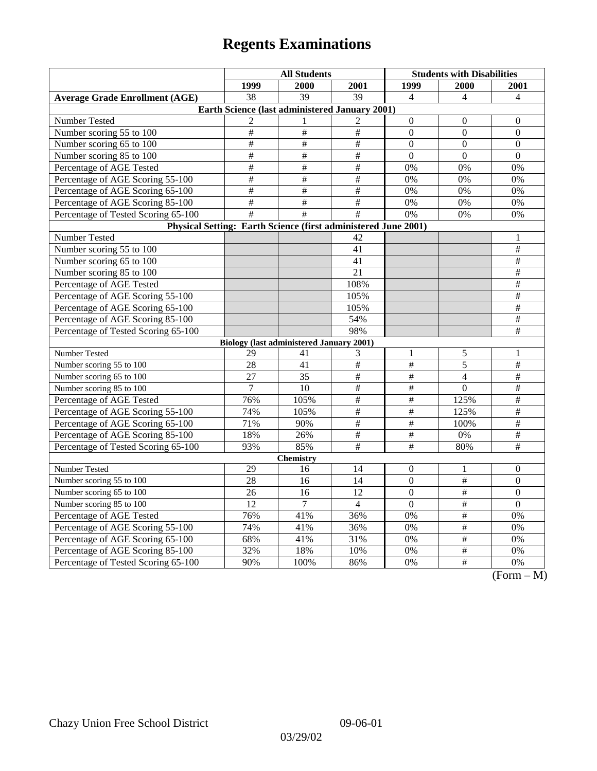| 1999<br>2000<br>1999<br>2001<br>2000<br>2001<br>$\overline{39}$<br>$\overline{39}$<br><b>Average Grade Enrollment (AGE)</b><br>38<br>$\overline{4}$<br>$\overline{4}$<br>$\overline{4}$<br>Earth Science (last administered January 2001) |              |
|-------------------------------------------------------------------------------------------------------------------------------------------------------------------------------------------------------------------------------------------|--------------|
|                                                                                                                                                                                                                                           |              |
|                                                                                                                                                                                                                                           |              |
|                                                                                                                                                                                                                                           |              |
| Number Tested<br>$\overline{c}$<br>$\overline{c}$<br>$\mathbf{0}$<br>$\theta$<br>$\theta$<br>1                                                                                                                                            |              |
| $\#$<br>$\#$<br>Number scoring 55 to 100<br>$\#$<br>$\mathbf{0}$<br>$\boldsymbol{0}$<br>$\mathbf{0}$                                                                                                                                      |              |
| $\overline{\#}$<br>$\overline{\#}$<br>#<br>Number scoring 65 to 100<br>$\boldsymbol{0}$<br>$\boldsymbol{0}$<br>$\boldsymbol{0}$                                                                                                           |              |
| $\#$<br>$\#$<br>$\#$<br>$\mathbf{0}$<br>$\boldsymbol{0}$<br>$\mathbf{0}$<br>Number scoring 85 to 100                                                                                                                                      |              |
| $\#$<br>$\#$<br>$\#$<br>Percentage of AGE Tested<br>0%<br>0%<br>0%                                                                                                                                                                        |              |
| $\#$<br>$\overline{\#}$<br>Percentage of AGE Scoring 55-100<br>$\#$<br>0%<br>0%<br>0%                                                                                                                                                     |              |
| $\overline{\#}$<br>$\overline{\#}$<br>$\#$<br>Percentage of AGE Scoring 65-100<br>0%<br>0%<br>0%                                                                                                                                          |              |
| $\overline{\#}$<br>$\overline{\#}$<br>#<br>Percentage of AGE Scoring 85-100<br>0%<br>0%<br>0%                                                                                                                                             |              |
| #<br>#<br>Percentage of Tested Scoring 65-100<br>$\#$<br>0%<br>0%<br>0%                                                                                                                                                                   |              |
| Physical Setting: Earth Science (first administered June 2001)                                                                                                                                                                            |              |
| Number Tested<br>42<br>1                                                                                                                                                                                                                  |              |
| $\overline{\ddot{}}$<br>Number scoring 55 to 100<br>41                                                                                                                                                                                    |              |
| Number scoring 65 to 100<br>$\overline{41}$<br>$\#$                                                                                                                                                                                       |              |
| Number scoring 85 to 100<br>21<br>$\#$                                                                                                                                                                                                    |              |
| 108%<br>$\overline{+}$<br>Percentage of AGE Tested                                                                                                                                                                                        |              |
| $\overline{\#}$<br>105%<br>Percentage of AGE Scoring 55-100                                                                                                                                                                               |              |
| $\overline{\#}$<br>Percentage of AGE Scoring 65-100<br>105%                                                                                                                                                                               |              |
| Percentage of AGE Scoring 85-100<br>$\#$<br>54%                                                                                                                                                                                           |              |
| Percentage of Tested Scoring 65-100<br>#<br>98%                                                                                                                                                                                           |              |
| <b>Biology (last administered January 2001)</b>                                                                                                                                                                                           |              |
| Number Tested<br>5<br>29<br>41<br>3<br>1<br>1                                                                                                                                                                                             |              |
| #<br>$\#$<br>5<br>#<br>Number scoring 55 to 100<br>28<br>41                                                                                                                                                                               |              |
| Number scoring 65 to 100<br>$\#$<br>27<br>35<br>$\#$<br>$\#$<br>$\overline{4}$                                                                                                                                                            |              |
| $\overline{\ddot{\pi}}$<br>$\overline{\ddot{}}$<br>$\#$<br>Number scoring 85 to 100<br>$\mathbf{0}$<br>7<br>10                                                                                                                            |              |
| $\overline{\#}$<br>$\overline{\#}$<br>$\#$<br>125%<br>Percentage of AGE Tested<br>76%<br>105%                                                                                                                                             |              |
| $\#$<br>$\#$<br>$\overline{\#}$<br>125%<br>Percentage of AGE Scoring 55-100<br>74%<br>105%                                                                                                                                                |              |
| Percentage of AGE Scoring 65-100<br>71%<br>90%<br>$\#$<br>$\#$<br>$\#$<br>100%                                                                                                                                                            |              |
| Percentage of AGE Scoring 85-100<br>$\overline{\#}$<br>$\overline{\#}$<br>$\overline{\#}$<br>18%<br>26%<br>0%                                                                                                                             |              |
| #<br>$\overline{\#}$<br>$\overline{\#}$<br>85%<br>93%<br>80%<br>Percentage of Tested Scoring 65-100                                                                                                                                       |              |
| <b>Chemistry</b>                                                                                                                                                                                                                          |              |
| Number Tested<br>29<br>14<br>$\boldsymbol{0}$<br>$\boldsymbol{0}$<br>16<br>1                                                                                                                                                              |              |
| $\#$<br>Number scoring 55 to 100<br>28<br>16<br>14<br>$\mathbf{0}$<br>$\overline{0}$                                                                                                                                                      |              |
| $\overline{12}$<br>$\overline{0}$<br>$\frac{1}{2}$<br>$\overline{0}$<br>Number scoring 65 to 100<br>26<br>16                                                                                                                              |              |
| Number scoring 85 to 100<br>12<br>$\overline{0}$<br>$\#$<br>$\mathbf{0}$<br>7<br>$\overline{4}$                                                                                                                                           |              |
| $\#$<br>76%<br>Percentage of AGE Tested<br>41%<br>36%<br>0%<br>0%                                                                                                                                                                         |              |
| #<br>74%<br>41%<br>0%<br>0%<br>Percentage of AGE Scoring 55-100<br>36%                                                                                                                                                                    |              |
| $\overline{\#}$<br>Percentage of AGE Scoring 65-100<br>68%<br>41%<br>31%<br>0%<br>0%                                                                                                                                                      |              |
| Percentage of AGE Scoring 85-100<br>$\frac{1}{2}$<br>32%<br>18%<br>10%<br>0%<br>0%                                                                                                                                                        |              |
| $\overline{+}$<br>Percentage of Tested Scoring 65-100<br>90%<br>100%<br>86%<br>0%<br>0%<br>$\sqrt{\Gamma_{\alpha}}$                                                                                                                       | $\mathbf{M}$ |

(Form – M)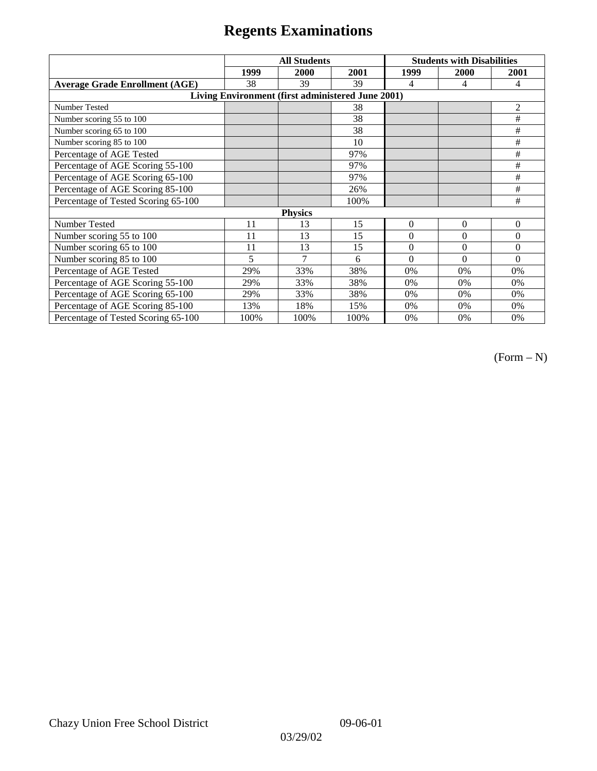|                                                   | <b>All Students</b> |               |      | <b>Students with Disabilities</b> |              |                |  |
|---------------------------------------------------|---------------------|---------------|------|-----------------------------------|--------------|----------------|--|
|                                                   | 1999                | 2000          | 2001 | 1999                              | 2000         | 2001           |  |
| <b>Average Grade Enrollment (AGE)</b>             | 38                  | 39            | 39   | 4                                 | 4            | 4              |  |
| Living Environment (first administered June 2001) |                     |               |      |                                   |              |                |  |
| <b>Number Tested</b>                              |                     |               | 38   |                                   |              | 2              |  |
| Number scoring 55 to 100                          |                     |               | 38   |                                   |              | #              |  |
| Number scoring 65 to 100                          |                     |               | 38   |                                   |              | #              |  |
| Number scoring 85 to 100                          |                     |               | 10   |                                   |              | #              |  |
| Percentage of AGE Tested                          |                     |               | 97%  |                                   |              | #              |  |
| Percentage of AGE Scoring 55-100                  |                     |               | 97%  |                                   |              | #              |  |
| Percentage of AGE Scoring 65-100                  |                     |               | 97%  |                                   |              | #              |  |
| Percentage of AGE Scoring 85-100                  |                     |               | 26%  |                                   |              | #              |  |
| Percentage of Tested Scoring 65-100               |                     |               | 100% |                                   |              | #              |  |
| <b>Physics</b>                                    |                     |               |      |                                   |              |                |  |
| Number Tested                                     | 11                  | 13            | 15   | $\mathbf{0}$                      | $\mathbf{0}$ | $\overline{0}$ |  |
| Number scoring 55 to 100                          | 11                  | 13            | 15   | $\Omega$                          | $\theta$     | $\theta$       |  |
| Number scoring 65 to 100                          | 11                  | 13            | 15   | $\mathbf{0}$                      | $\theta$     | $\overline{0}$ |  |
| Number scoring 85 to 100                          | 5                   | $\mathcal{I}$ | 6    | $\Omega$                          | $\Omega$     | $\Omega$       |  |
| Percentage of AGE Tested                          | 29%                 | 33%           | 38%  | 0%                                | 0%           | 0%             |  |
| Percentage of AGE Scoring 55-100                  | 29%                 | 33%           | 38%  | 0%                                | 0%           | 0%             |  |
| Percentage of AGE Scoring 65-100                  | 29%                 | 33%           | 38%  | 0%                                | 0%           | 0%             |  |
| Percentage of AGE Scoring 85-100                  | 13%                 | 18%           | 15%  | 0%                                | 0%           | 0%             |  |
| Percentage of Tested Scoring 65-100               | 100%                | 100%          | 100% | 0%                                | 0%           | $0\%$          |  |

(Form – N)